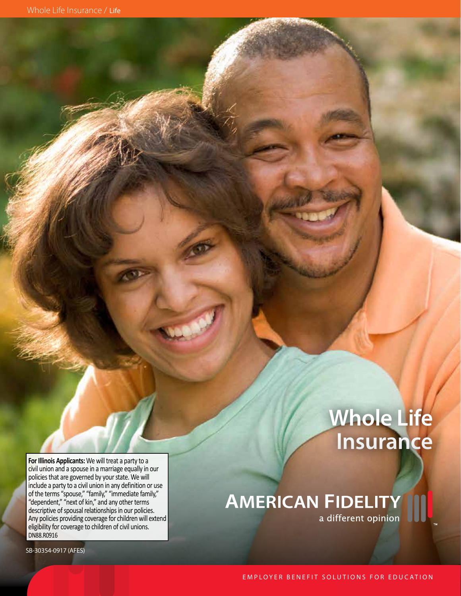# **Whole Life Insurance**

**AMERICAN FIDELITY**<br>a different opinion

**For Illinois Applicants:** We will treat a party to a civil union and a spouse in a marriage equally in our policies that are governed by your state. We will include a party to a civil union in any definition or use of the terms "spouse," "family," "immediate family," "dependent," "next of kin," and any other terms descriptive of spousal relationships in our policies. Any policies providing coverage for children will extend eligibility for coverage to children of civil unions. DN88.R0916

SB-30354-0917 (AFES)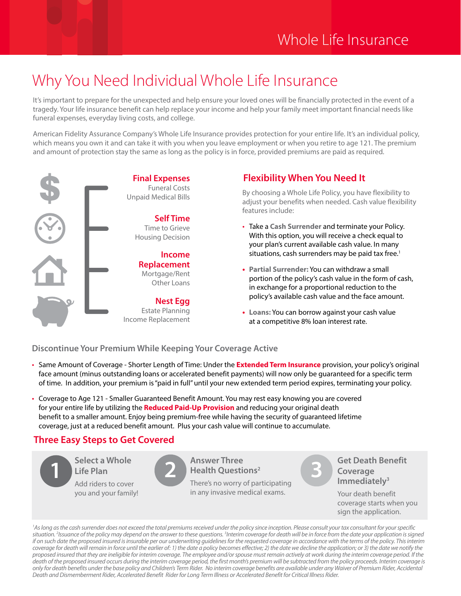## Why You Need Individual Whole Life Insurance

It's important to prepare for the unexpected and help ensure your loved ones will be financially protected in the event of a tragedy. Your life insurance benefit can help replace your income and help your family meet important financial needs like funeral expenses, everyday living costs, and college.

American Fidelity Assurance Company's Whole Life Insurance provides protection for your entire life. It's an individual policy, which means you own it and can take it with you when you leave employment or when you retire to age 121. The premium and amount of protection stay the same as long as the policy is in force, provided premiums are paid as required.



### **Flexibility When You Need It**

EQUE COSES By choosing a Whole Life Policy, you have flexibility to<br>Unpaid Medical Bills adjust your benefits when needed. Cash value flexibility features include:

- Take a **Cash Surrender** and terminate your Policy. With this option, you will receive a check equal to your plan's current available cash value. In many situations, cash surrenders may be paid tax free.<sup>1</sup>
- **• Partial Surrender:** You can withdraw a small portion of the policy's cash value in the form of cash, in exchange for a proportional reduction to the policy's available cash value and the face amount.
- **• Loans:** You can borrow against your cash value at a competitive 8% loan interest rate.

**Discontinue Your Premium While Keeping Your Coverage Active**

- Same Amount of Coverage Shorter Length of Time: Under the **Extended Term Insurance** provision, your policy's original face amount (minus outstanding loans or accelerated benefit payments) will now only be guaranteed for a specific term of time. In addition, your premium is "paid in full" until your new extended term period expires, terminating your policy.
- Coverage to Age 121 Smaller Guaranteed Benefit Amount. You may rest easy knowing you are covered for your entire life by utilizing the **Reduced Paid-Up Provision** and reducing your original death benefit to a smaller amount. Enjoy being premium-free while having the security of guaranteed lifetime coverage, just at a reduced benefit amount. Plus your cash value will continue to accumulate.

### **Three Easy Steps to Get Covered**



<sup>1</sup>As long as the cash surrender does not exceed the total premiums received under the policy since inception. Please consult your tax consultant for your specific *situation. 2 Issuance of the policy may depend on the answer to these questions. 3 Interim coverage for death will be in force from the date your application is signed if on such date the proposed insured is insurable per our underwriting guidelines for the requested coverage in accordance with the terms of the policy. This interim coverage for death will remain in force until the earlier of: 1) the date a policy becomes effective; 2) the date we decline the application; or 3) the date we notify the proposed insured that they are ineligible for interim coverage. The employee and/or spouse must remain actively at work during the interim coverage period. If the*  death of the proposed insured occurs during the interim coverage period, the first month's premium will be subtracted from the policy proceeds. Interim coverage is *only for death benefits under the base policy and Children's Term Rider. No interim coverage benefits are available under any Waiver of Premium Rider, Accidental Death and Dismemberment Rider, Accelerated Benefit Rider for Long Term Illness or Accelerated Benefit for Critical Illness Rider.*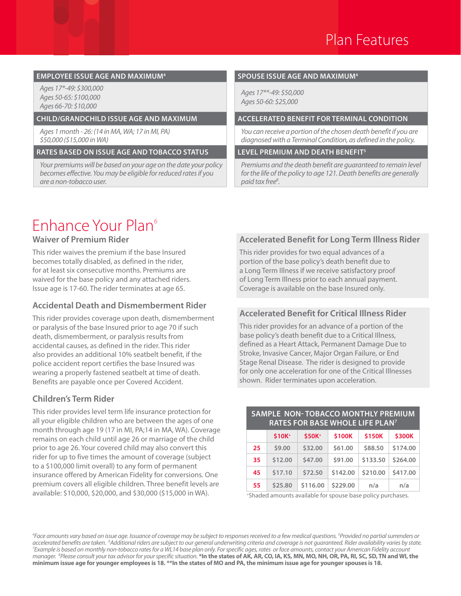#### **EMPLOYEE ISSUE AGE AND MAXIMUM4 SPOUSE ISSUE AGE AND MAXIMUM4**

*Ages 17\*-49: \$300,000 Ages 50-65: \$100,000 Ages 66-70: \$10,000*

*Ages 1 month - 26: (14 in MA, WA; 17 in MI, PA) \$50,000 (\$15,000 in WA)*

#### **RATES BASED ON ISSUE AGE AND TOBACCO STATUS LEVEL PREMIUM AND DEATH BENEFIT5**

*Your premiums will be based on your age on the date your policy becomes effective. You may be eligible for reduced rates if you are a non-tobacco user.*

*Ages 17\*\*-49: \$50,000 Ages 50-60: \$25,000*

#### **CHILD/GRANDCHILD ISSUE AGE AND MAXIMUM ACCELERATED BENEFIT FOR TERMINAL CONDITION**

*You can receive a portion of the chosen death benefit if you are diagnosed with a Terminal Condition, as defined in the policy.*

*Premiums and the death benefit are guaranteed to remain level for the life of the policy to age 121. Death benefits are generally paid tax free8 .* 

## Enhance Your Plan6

#### **Waiver of Premium Rider**

This rider waives the premium if the base Insured becomes totally disabled, as defined in the rider, for at least six consecutive months. Premiums are waived for the base policy and any attached riders. Issue age is 17-60. The rider terminates at age 65.

#### **Accidental Death and Dismemberment Rider**

This rider provides coverage upon death, dismemberment or paralysis of the base Insured prior to age 70 if such death, dismemberment, or paralysis results from accidental causes, as defined in the rider. This rider also provides an additional 10% seatbelt benefit, if the police accident report certifies the base Insured was wearing a properly fastened seatbelt at time of death. Benefits are payable once per Covered Accident.

#### **Children's Term Rider**

This rider provides level term life insurance protection for all your eligible children who are between the ages of one month through age 19 (17 in MI, PA;14 in MA, WA). Coverage remains on each child until age 26 or marriage of the child prior to age 26. Your covered child may also convert this rider for up to five times the amount of coverage (subject to a \$100,000 limit overall) to any form of permanent insurance offered by American Fidelity for conversions. One premium covers all eligible children. Three benefit levels are available: \$10,000, \$20,000, and \$30,000 (\$15,000 in WA).

#### **Accelerated Benefit for Long Term Illness Rider**

This rider provides for two equal advances of a portion of the base policy's death benefit due to a Long Term Illness if we receive satisfactory proof of Long Term Illness prior to each annual payment. Coverage is available on the base Insured only.

### **Accelerated Benefit for Critical Illness Rider**

This rider provides for an advance of a portion of the base policy's death benefit due to a Critical Illness, defined as a Heart Attack, Permanent Damage Due to Stroke, Invasive Cancer, Major Organ Failure, or End Stage Renal Disease. The rider is designed to provide for only one acceleration for one of the Critical Illnesses shown. Rider terminates upon acceleration.

#### **SAMPLE NON- TOBACCO MONTHLY PREMIUM RATES FOR BASE WHOLE LIFE PLAN7**

|    | \$10K <sup>+</sup> | \$50K <sup>+</sup> | \$100K   | \$150K   | \$300K   |
|----|--------------------|--------------------|----------|----------|----------|
| 25 | \$9.00             | \$32.00            | \$61.00  | \$88.50  | \$174.00 |
| 35 | \$12.00            | \$47.00            | \$91.00  | \$133.50 | \$264.00 |
| 45 | \$17.10            | \$72.50            | \$142.00 | \$210.00 | \$417.00 |
| 55 | \$25.80            | \$116.00           | \$229.00 | n/a      | n/a      |

+Shaded amounts available for spouse base policy purchases.

*4 Face amounts vary based on issue age. Issuance of coverage may be subject to responses received to a few medical questions. 5 Provided no partial surrenders or*  accelerated benefits are taken. <sup>6</sup>Additional riders are subject to our general underwriting criteria and coverage is not guaranteed. Rider availability varies by state.<br><sup>7</sup>Example is based on monthly non-tobacco rates for *Example is based on monthly non-tobacco rates for a WL14 base plan only. For specific ages, rates or face amounts, contact your American Fidelity account manager. 8 Please consult your tax advisor for your specific situation.* **\*In the states of AK, AR, CO, IA, KS, MN, MO, NH, OR, PA, RI, SC, SD, TN and WI, the minimum issue age for younger employees is 18. \*\*In the states of MO and PA, the minimum issue age for younger spouses is 18.**